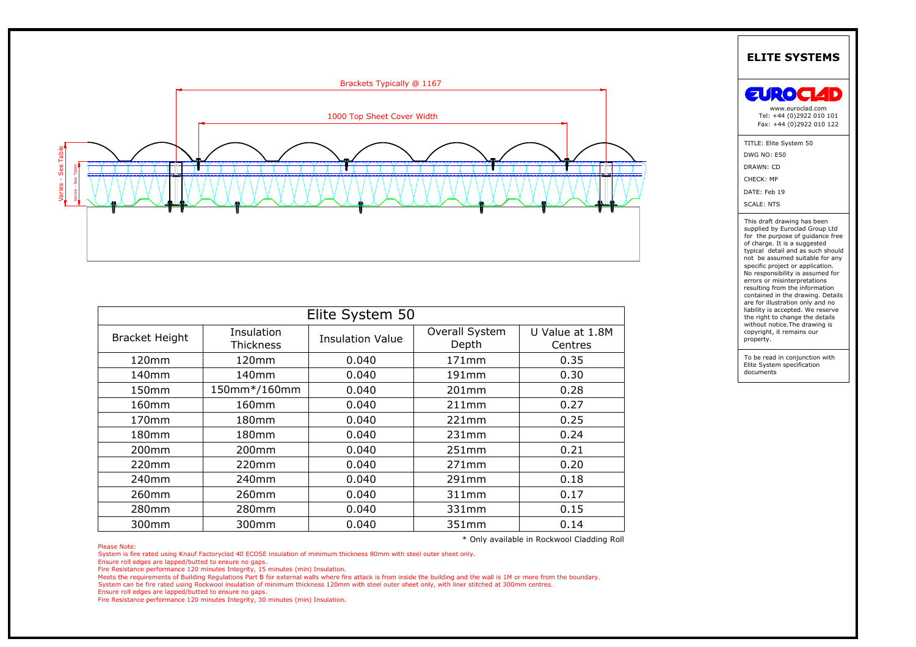

| <b>ELITE SYSTEMS</b>                                                                                                                                                                                                                |                                                                                                                                                                                                                                                                                                                                                                                                                                                                                                      |
|-------------------------------------------------------------------------------------------------------------------------------------------------------------------------------------------------------------------------------------|------------------------------------------------------------------------------------------------------------------------------------------------------------------------------------------------------------------------------------------------------------------------------------------------------------------------------------------------------------------------------------------------------------------------------------------------------------------------------------------------------|
|                                                                                                                                                                                                                                     |                                                                                                                                                                                                                                                                                                                                                                                                                                                                                                      |
| Brackets Typically @ 1167<br><b>ZURO</b><br>www.euroclad.com<br>Tel: +44 (0)2922 010 101<br>1000 Top Sheet Cover Width<br>Fax: +44 (0)2922 010 122                                                                                  | $\overline{\phantom{0}}$                                                                                                                                                                                                                                                                                                                                                                                                                                                                             |
| TITLE: Elite System 50<br>DWG NO: E50<br>DRAWN: CD<br>CHECK: MP<br>DATE: Feb 19<br><b>SCALE: NTS</b>                                                                                                                                |                                                                                                                                                                                                                                                                                                                                                                                                                                                                                                      |
|                                                                                                                                                                                                                                     | This draft drawing has been<br>supplied by Euroclad Group Ltd<br>for the purpose of guidance free<br>of charge. It is a suggested<br>typical detail and as such should<br>not be assumed suitable for any<br>specific project or application.<br>No responsibility is assumed for<br>errors or misinterpretations<br>resulting from the information<br>contained in the drawing. Details<br>are for illustration only and no<br>liability is accepted. We reserve<br>the right to change the details |
|                                                                                                                                                                                                                                     |                                                                                                                                                                                                                                                                                                                                                                                                                                                                                                      |
| Elite System 50<br>without notice. The drawing is<br>Overall System<br>Insulation<br>U Value at 1.8M<br>copyright, it remains our<br><b>Bracket Height</b><br><b>Insulation Value</b><br>property.<br>Depth<br>Thickness<br>Centres |                                                                                                                                                                                                                                                                                                                                                                                                                                                                                                      |
| To be read in conjunction with<br>120mm<br>0.040<br>171mm<br>0.35<br>120mm                                                                                                                                                          |                                                                                                                                                                                                                                                                                                                                                                                                                                                                                                      |
| Elite System specification<br>documents<br>140mm<br>140mm<br>0.040<br>191mm<br>0.30                                                                                                                                                 |                                                                                                                                                                                                                                                                                                                                                                                                                                                                                                      |
| 150mm*/160mm<br>150mm<br>0.040<br>201mm<br>0.28                                                                                                                                                                                     |                                                                                                                                                                                                                                                                                                                                                                                                                                                                                                      |
| 0.040<br>0.27<br>160mm<br>160mm<br>211mm                                                                                                                                                                                            |                                                                                                                                                                                                                                                                                                                                                                                                                                                                                                      |
| 0.25<br>170mm<br>180mm<br>0.040<br>221mm                                                                                                                                                                                            |                                                                                                                                                                                                                                                                                                                                                                                                                                                                                                      |
| 0.24<br>180mm<br>180mm<br>0.040<br>231mm                                                                                                                                                                                            |                                                                                                                                                                                                                                                                                                                                                                                                                                                                                                      |
| 200mm<br>0.040<br>251mm<br>0.21<br>200mm                                                                                                                                                                                            |                                                                                                                                                                                                                                                                                                                                                                                                                                                                                                      |
| 0.20<br>0.040<br>220mm<br>220mm<br>271mm                                                                                                                                                                                            |                                                                                                                                                                                                                                                                                                                                                                                                                                                                                                      |
| 240mm<br>240mm<br>0.040<br>291mm<br>0.18                                                                                                                                                                                            |                                                                                                                                                                                                                                                                                                                                                                                                                                                                                                      |
| 260mm<br>0.040<br>311mm<br>0.17<br>260mm                                                                                                                                                                                            |                                                                                                                                                                                                                                                                                                                                                                                                                                                                                                      |
| 0.15<br>280mm<br>280mm<br>0.040<br>331mm                                                                                                                                                                                            |                                                                                                                                                                                                                                                                                                                                                                                                                                                                                                      |
| 300mm<br>0.040<br>351mm<br>0.14<br>300mm                                                                                                                                                                                            |                                                                                                                                                                                                                                                                                                                                                                                                                                                                                                      |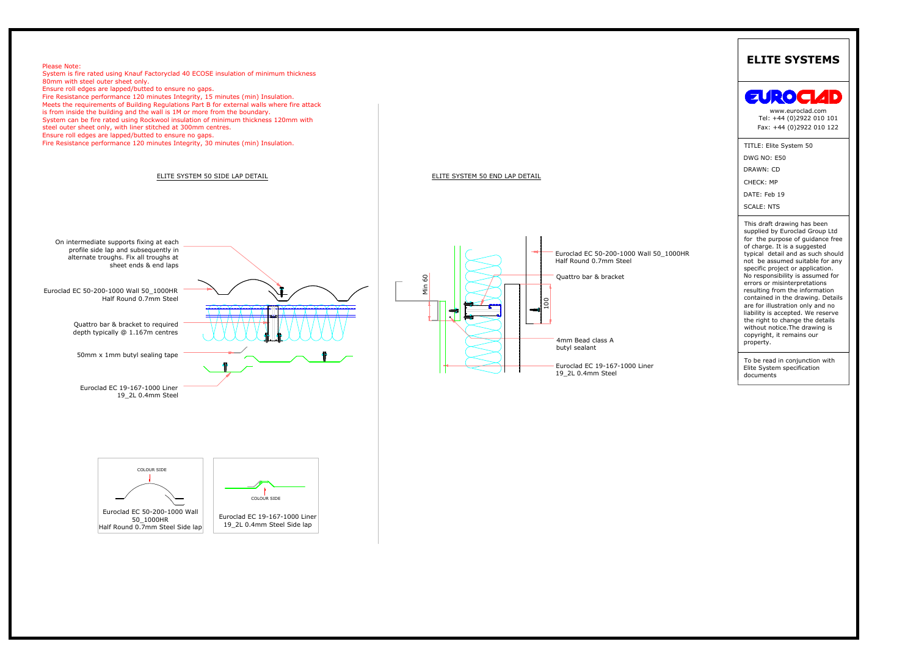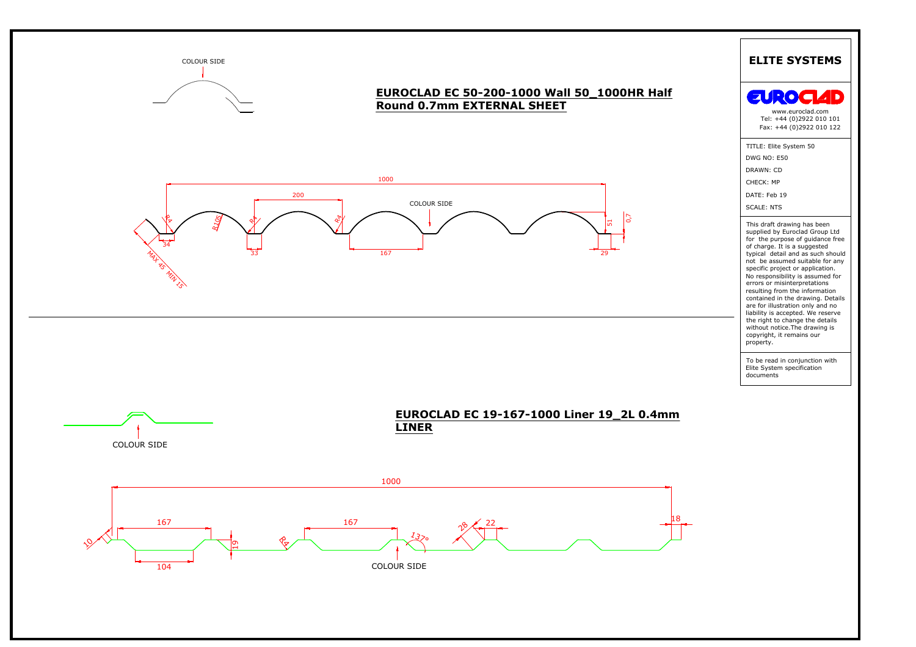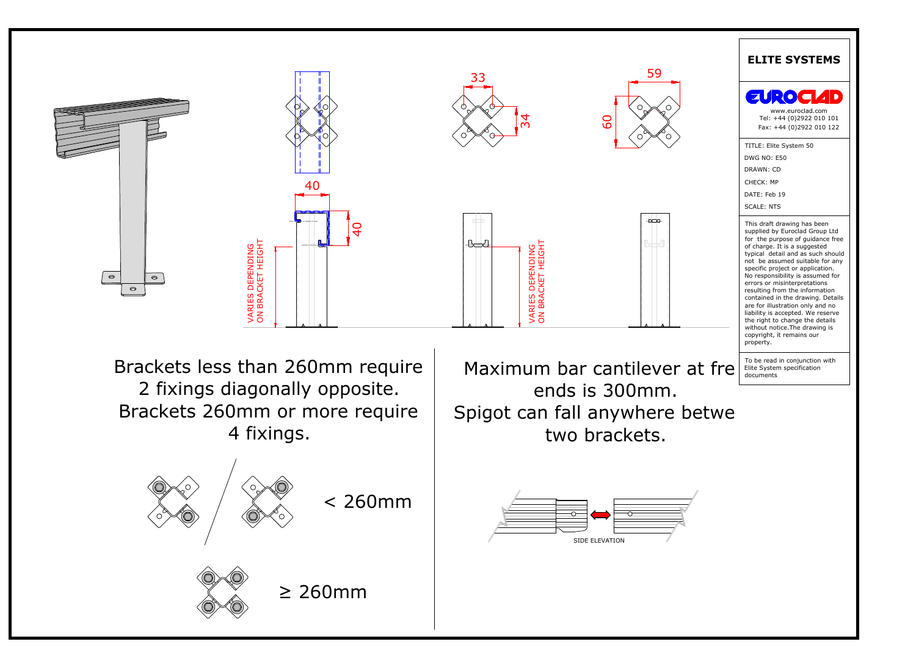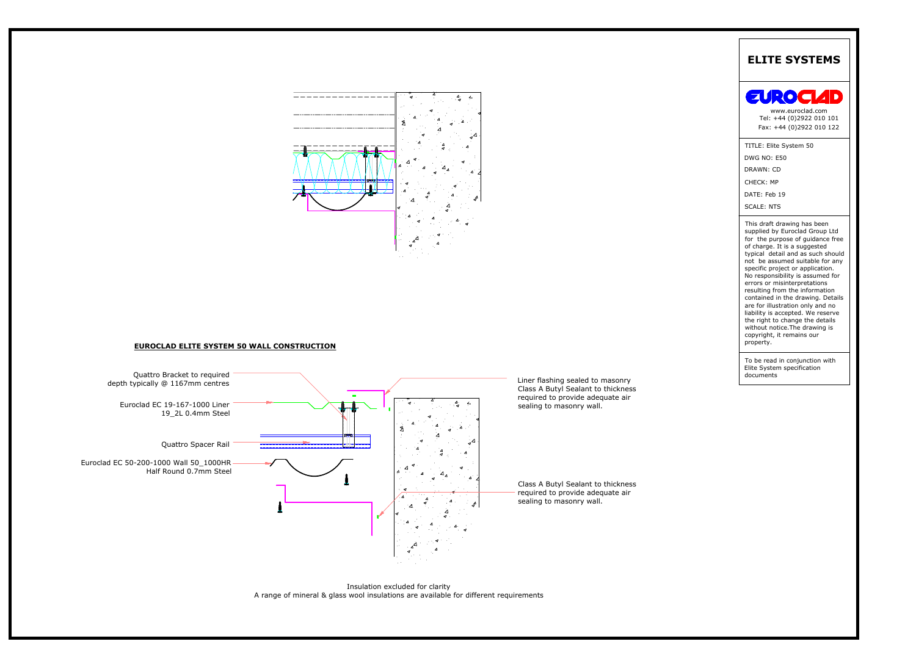



Insulation excluded for clarity<br>A range of mineral & glass wool insulations are available for different requirements

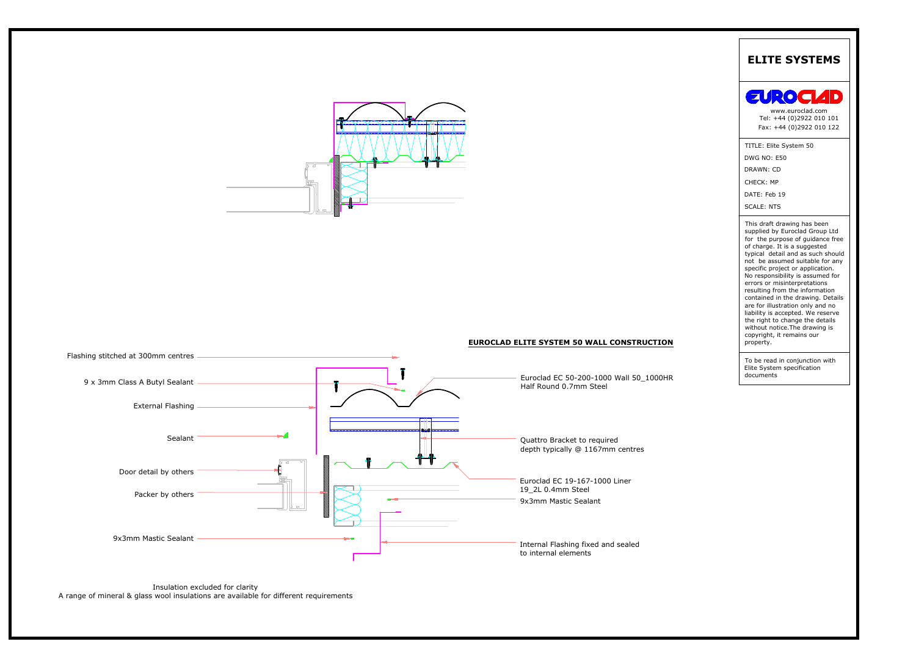



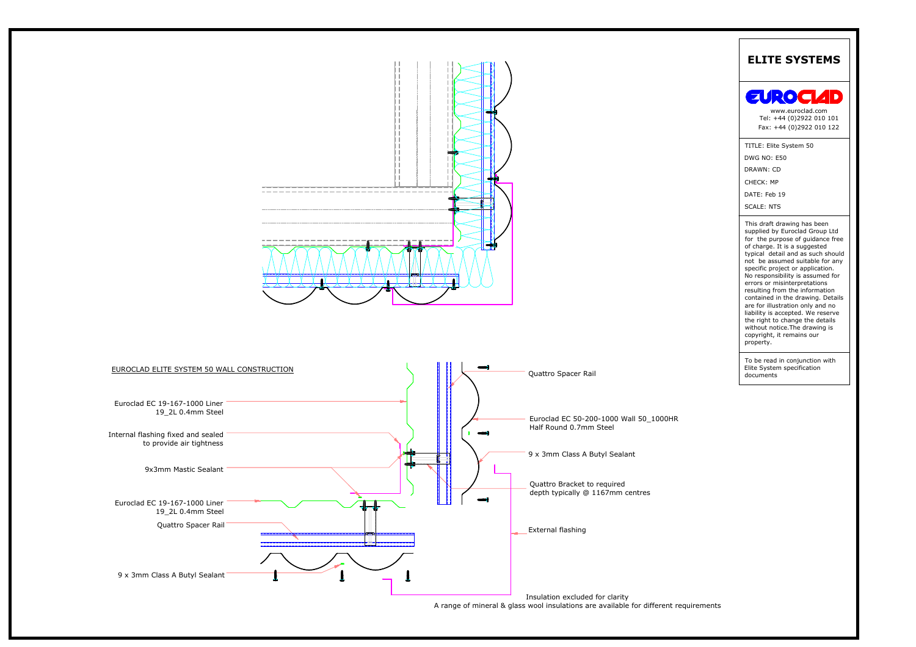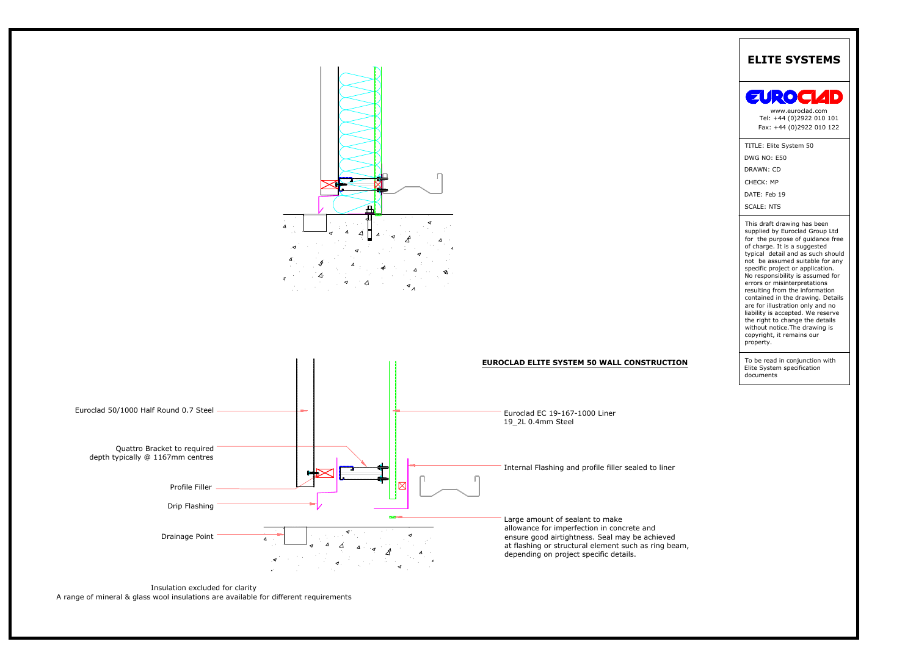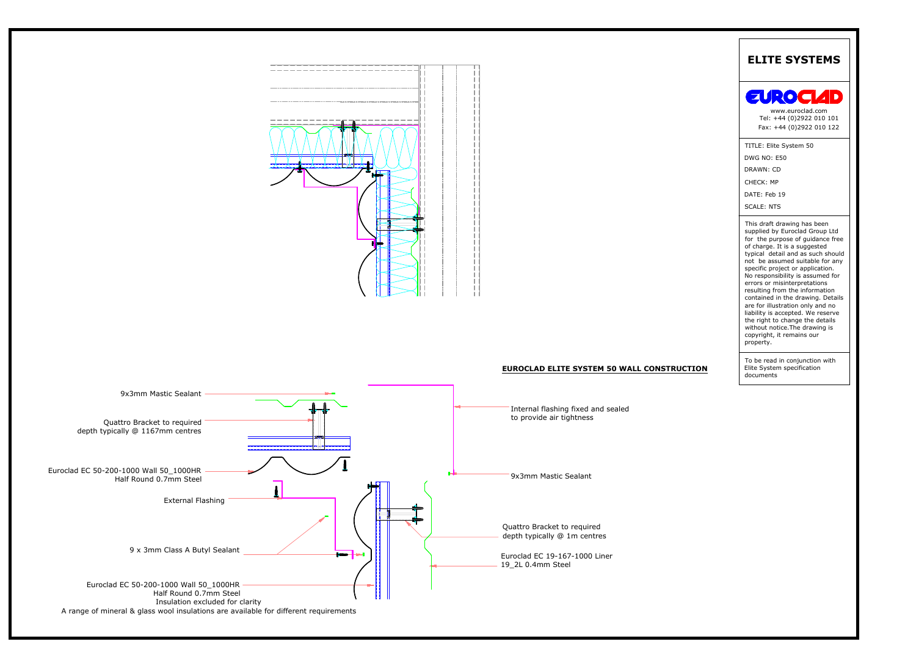

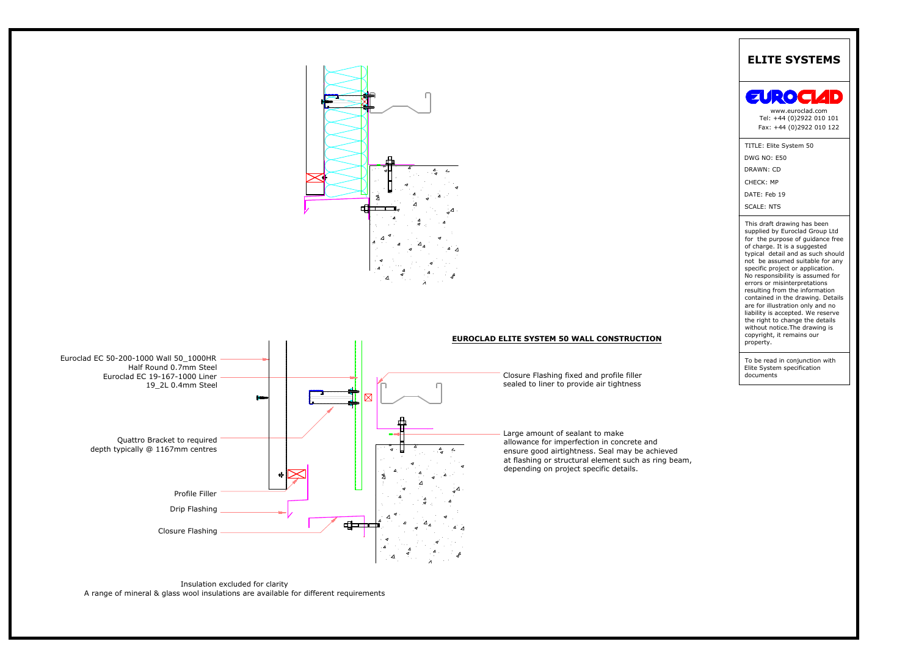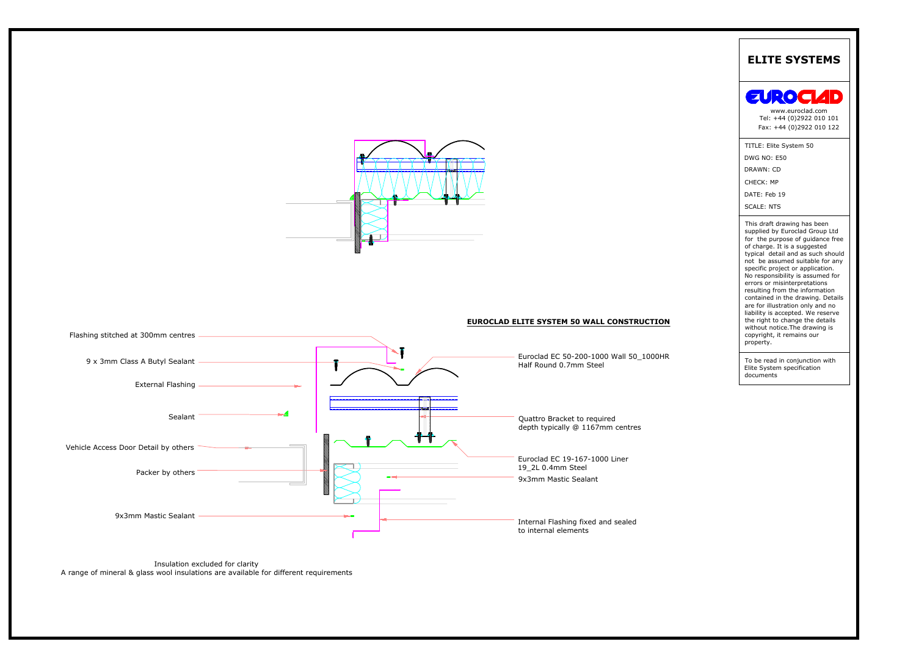

# Vehicle Access Door Detail by others **CELL Access** Door Detail by others CELL Access Door Detail by others CELL Access Door Detail by others CELL Access Door Detail by others CELL Access Door Detail by others CELL Access D Quattro Bracket to required<br>depth typically @ 1167mm centres<br>Euroclad EC 19-167-1000 Liner<br>19\_2L 0.4mm Steel<br>9x3mm Mastic Sealant Internal Flashing fixed and sealed EUROCLAD ELITE SYSTEM 50 W<br>
EUROCLAD ELITE SYSTEM 50 W<br>
EUROCLAD ELITE SYSTEM 50 W<br>
EUROCLAD ELITE SYSTEM 50 W<br>
EUROCLAD ELITE SYSTEM 50 W<br>
EUROCLAD ELITE SYSTEM 50 W<br>
EUROCLAD ELITE SYSTEM 50 W<br>
EUROCLAD ELITE SYSTEM 50 W 9x3mm Mastic Sealant<br>
Insulation excluded for clarity<br>
Insulation excluded for clarity<br>
A range of mineral & glass wool insulations are available for different requirements A range of mineral & glass wool insulations are available for different requirements **EUROCLAD ELITE SYSTEM 50 WALL CONSTRUCTION** Packer by others Sealant 9 x 3mm Class A Butyl Sealant Flashing stitched at 300mm centres Euroclad EC 50-200-1000 Wall 50\_1000HR Half Round 0.7mm Steel TITLE: Elite System 50 DWG NO: E50 DRAWN: CD DATE: Feb 19 CHECK: MP SCALE: NTS **ELITE SYSTEMS** To be read in conjunction with Elite System specification documents This draft drawing has been supplied by Euroclad Group Ltd for the purpose of guidance free of charge. It is a suggested typical detail and as such should not be assumed suitable for any specific project or application. No responsibility is assumed for errors or misinterpretations resulting from the information contained in the drawing. Details are for illustration only and no liability is accepted. We reserve the right to change the details without notice.The drawing is copyright, it remains our property. [Fax: +44 \(0\)2922 010 122](mailto:enquires@euroclad.co.uk) www.euroclad.com Tel: +44 (0)2922 010 101

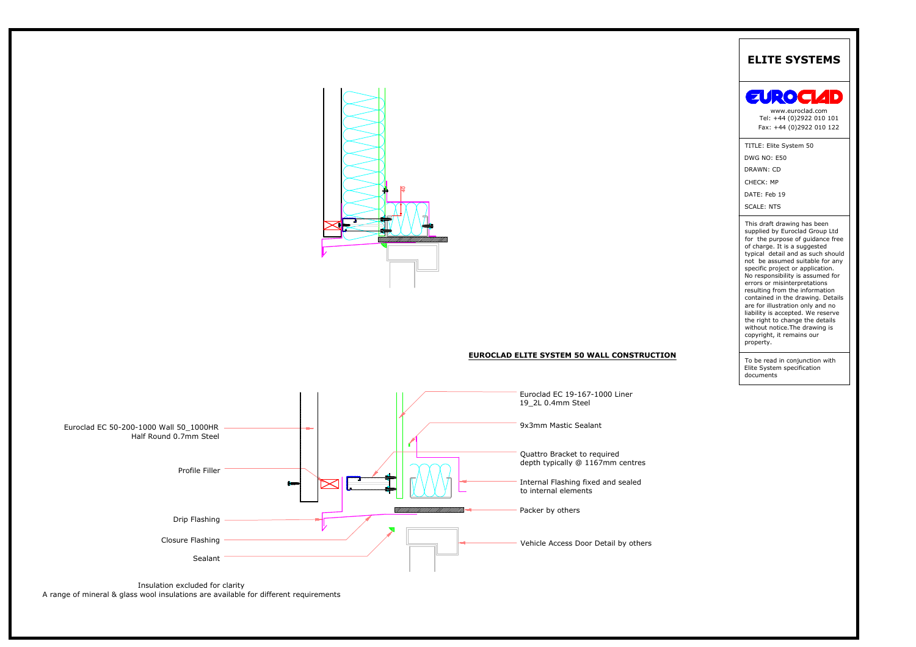

## **EUROCLAD ELITE SYSTEM 50 WALL CONSTRUCTION**



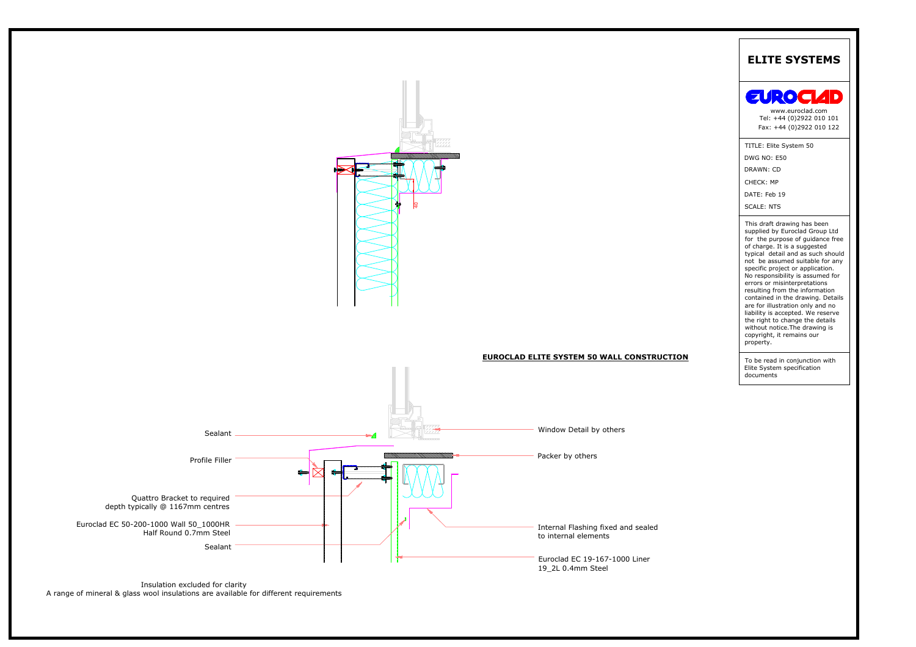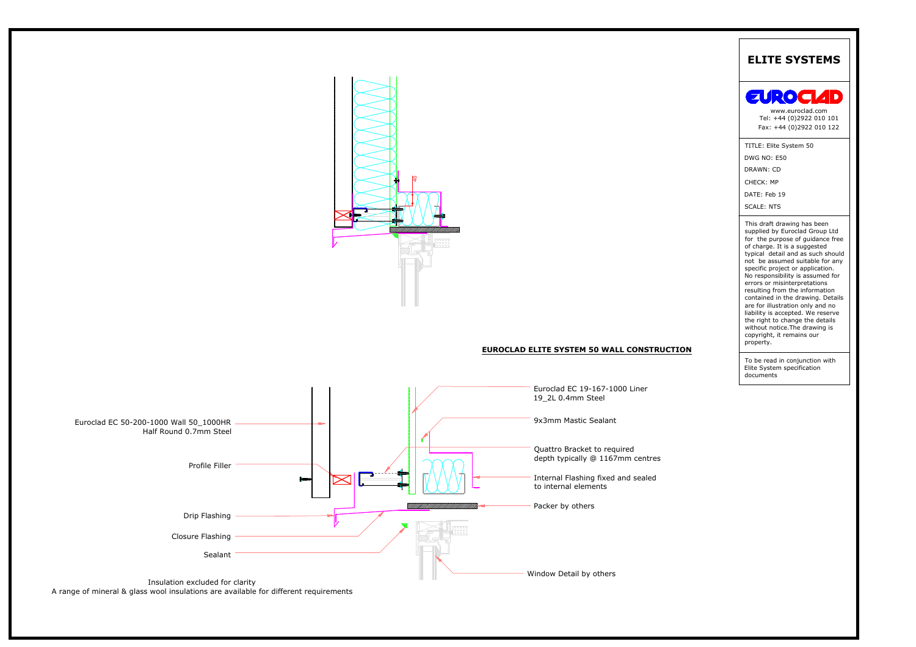